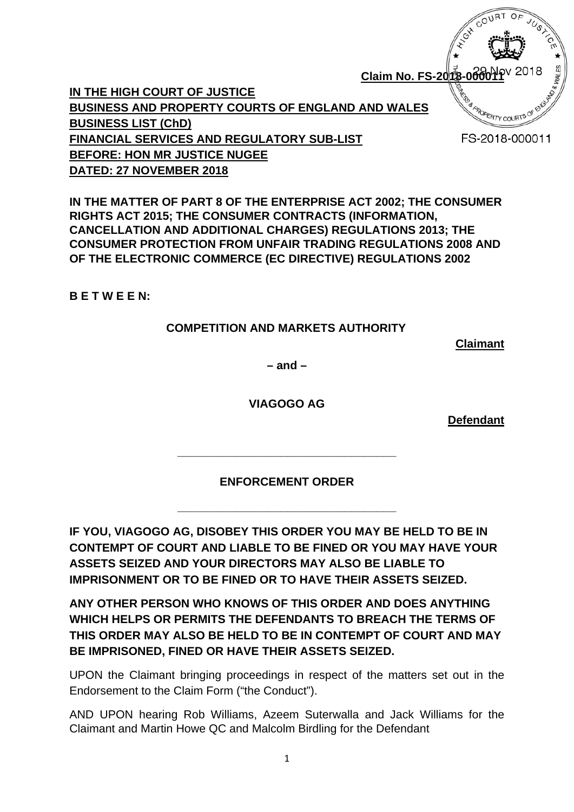**Claim No. FS-2013 IN THE HIGH COURT OF JUSTICE BUSINESS AND PROPERTY COURTS OF ENGLAND AND WALES BUSINESS LIST (ChD) FINANCIAL SERVICES AND REGULATORY SUB-LIST BEFORE: HON MR JUSTICE NUGEE DATED: 27 NOVEMBER 2018**

**IN THE MATTER OF PART 8 OF THE ENTERPRISE ACT 2002; THE CONSUMER RIGHTS ACT 2015; THE CONSUMER CONTRACTS (INFORMATION, CANCELLATION AND ADDITIONAL CHARGES) REGULATIONS 2013; THE CONSUMER PROTECTION FROM UNFAIR TRADING REGULATIONS 2008 AND OF THE ELECTRONIC COMMERCE (EC DIRECTIVE) REGULATIONS 2002**

**B E T W E E N:**

# **COMPETITION AND MARKETS AUTHORITY**

**Claimant**

**POPERTY COUP** 

FS-2018-000011

**– and –**

**VIAGOGO AG**

**Defendant**

**ENFORCEMENT ORDER**

**\_\_\_\_\_\_\_\_\_\_\_\_\_\_\_\_\_\_\_\_\_\_\_\_\_\_\_\_\_\_\_\_\_\_**

**\_\_\_\_\_\_\_\_\_\_\_\_\_\_\_\_\_\_\_\_\_\_\_\_\_\_\_\_\_\_\_\_\_\_**

**IF YOU, VIAGOGO AG, DISOBEY THIS ORDER YOU MAY BE HELD TO BE IN CONTEMPT OF COURT AND LIABLE TO BE FINED OR YOU MAY HAVE YOUR ASSETS SEIZED AND YOUR DIRECTORS MAY ALSO BE LIABLE TO IMPRISONMENT OR TO BE FINED OR TO HAVE THEIR ASSETS SEIZED.** 

**ANY OTHER PERSON WHO KNOWS OF THIS ORDER AND DOES ANYTHING WHICH HELPS OR PERMITS THE DEFENDANTS TO BREACH THE TERMS OF THIS ORDER MAY ALSO BE HELD TO BE IN CONTEMPT OF COURT AND MAY BE IMPRISONED, FINED OR HAVE THEIR ASSETS SEIZED.** 

UPON the Claimant bringing proceedings in respect of the matters set out in the Endorsement to the Claim Form ("the Conduct").

AND UPON hearing Rob Williams, Azeem Suterwalla and Jack Williams for the Claimant and Martin Howe QC and Malcolm Birdling for the Defendant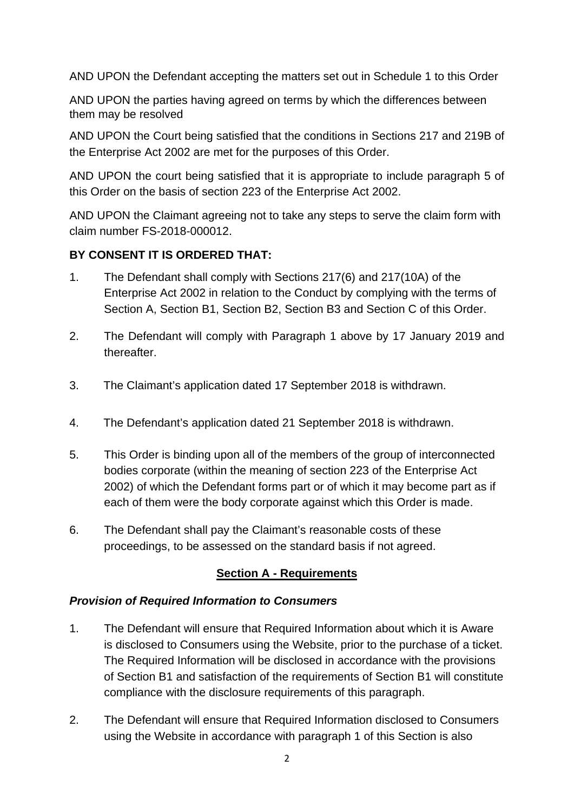AND UPON the Defendant accepting the matters set out in Schedule 1 to this Order

AND UPON the parties having agreed on terms by which the differences between them may be resolved

AND UPON the Court being satisfied that the conditions in Sections 217 and 219B of the Enterprise Act 2002 are met for the purposes of this Order.

AND UPON the court being satisfied that it is appropriate to include paragraph 5 of this Order on the basis of section 223 of the Enterprise Act 2002.

AND UPON the Claimant agreeing not to take any steps to serve the claim form with claim number FS-2018-000012.

# **BY CONSENT IT IS ORDERED THAT:**

- 1. The Defendant shall comply with Sections 217(6) and 217(10A) of the Enterprise Act 2002 in relation to the Conduct by complying with the terms of Section A, Section B1, Section B2, Section B3 and Section C of this Order.
- 2. The Defendant will comply with Paragraph 1 above by 17 January 2019 and thereafter.
- 3. The Claimant's application dated 17 September 2018 is withdrawn.
- 4. The Defendant's application dated 21 September 2018 is withdrawn.
- 5. This Order is binding upon all of the members of the group of interconnected bodies corporate (within the meaning of section 223 of the Enterprise Act 2002) of which the Defendant forms part or of which it may become part as if each of them were the body corporate against which this Order is made.
- 6. The Defendant shall pay the Claimant's reasonable costs of these proceedings, to be assessed on the standard basis if not agreed.

# **Section A - Requirements**

# *Provision of Required Information to Consumers*

- 1. The Defendant will ensure that Required Information about which it is Aware is disclosed to Consumers using the Website, prior to the purchase of a ticket. The Required Information will be disclosed in accordance with the provisions of Section B1 and satisfaction of the requirements of Section B1 will constitute compliance with the disclosure requirements of this paragraph.
- 2. The Defendant will ensure that Required Information disclosed to Consumers using the Website in accordance with paragraph 1 of this Section is also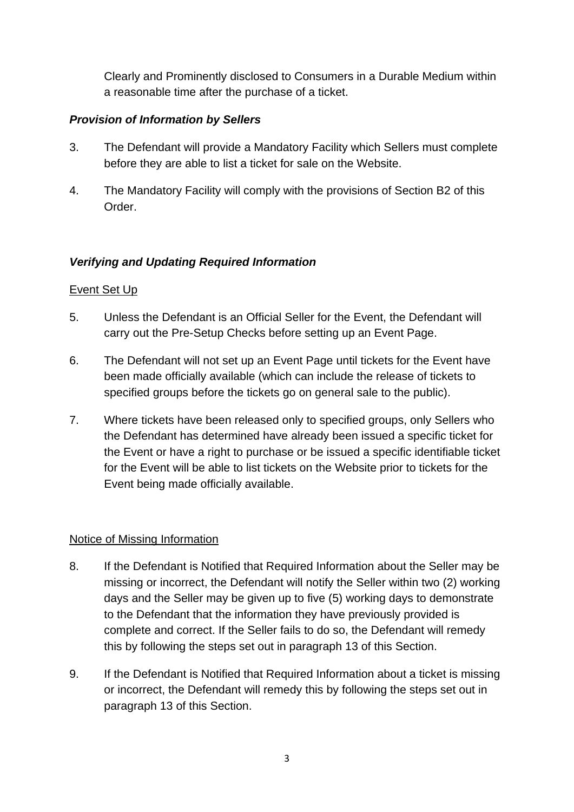Clearly and Prominently disclosed to Consumers in a Durable Medium within a reasonable time after the purchase of a ticket.

# *Provision of Information by Sellers*

- 3. The Defendant will provide a Mandatory Facility which Sellers must complete before they are able to list a ticket for sale on the Website.
- 4. The Mandatory Facility will comply with the provisions of Section B2 of this Order.

# *Verifying and Updating Required Information*

# Event Set Up

- 5. Unless the Defendant is an Official Seller for the Event, the Defendant will carry out the Pre-Setup Checks before setting up an Event Page.
- 6. The Defendant will not set up an Event Page until tickets for the Event have been made officially available (which can include the release of tickets to specified groups before the tickets go on general sale to the public).
- 7. Where tickets have been released only to specified groups, only Sellers who the Defendant has determined have already been issued a specific ticket for the Event or have a right to purchase or be issued a specific identifiable ticket for the Event will be able to list tickets on the Website prior to tickets for the Event being made officially available.

# Notice of Missing Information

- 8. If the Defendant is Notified that Required Information about the Seller may be missing or incorrect, the Defendant will notify the Seller within two (2) working days and the Seller may be given up to five (5) working days to demonstrate to the Defendant that the information they have previously provided is complete and correct. If the Seller fails to do so, the Defendant will remedy this by following the steps set out in paragraph 13 of this Section.
- 9. If the Defendant is Notified that Required Information about a ticket is missing or incorrect, the Defendant will remedy this by following the steps set out in paragraph 13 of this Section.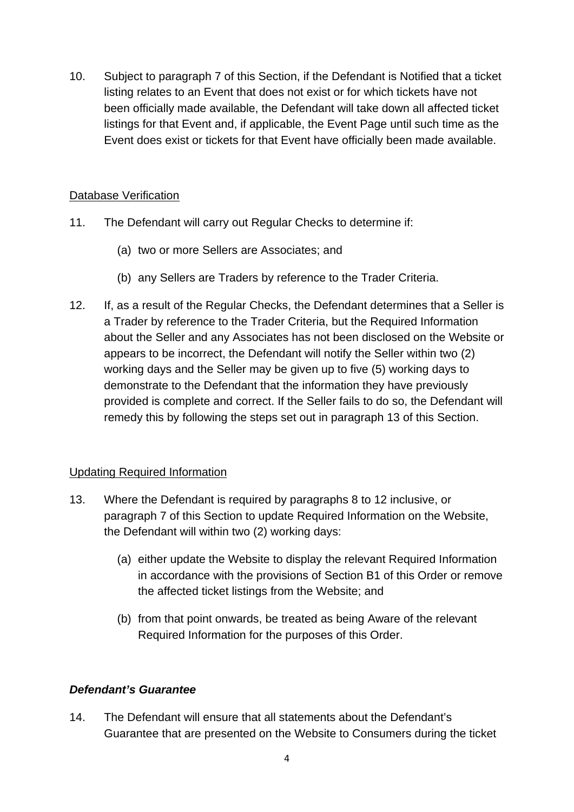10. Subject to paragraph 7 of this Section, if the Defendant is Notified that a ticket listing relates to an Event that does not exist or for which tickets have not been officially made available, the Defendant will take down all affected ticket listings for that Event and, if applicable, the Event Page until such time as the Event does exist or tickets for that Event have officially been made available.

# Database Verification

- 11. The Defendant will carry out Regular Checks to determine if:
	- (a) two or more Sellers are Associates; and
	- (b) any Sellers are Traders by reference to the Trader Criteria.
- 12. If, as a result of the Regular Checks, the Defendant determines that a Seller is a Trader by reference to the Trader Criteria, but the Required Information about the Seller and any Associates has not been disclosed on the Website or appears to be incorrect, the Defendant will notify the Seller within two (2) working days and the Seller may be given up to five (5) working days to demonstrate to the Defendant that the information they have previously provided is complete and correct. If the Seller fails to do so, the Defendant will remedy this by following the steps set out in paragraph 13 of this Section.

# Updating Required Information

- 13. Where the Defendant is required by paragraphs 8 to 12 inclusive, or paragraph 7 of this Section to update Required Information on the Website, the Defendant will within two (2) working days:
	- (a) either update the Website to display the relevant Required Information in accordance with the provisions of Section B1 of this Order or remove the affected ticket listings from the Website; and
	- (b) from that point onwards, be treated as being Aware of the relevant Required Information for the purposes of this Order.

# *Defendant's Guarantee*

14. The Defendant will ensure that all statements about the Defendant's Guarantee that are presented on the Website to Consumers during the ticket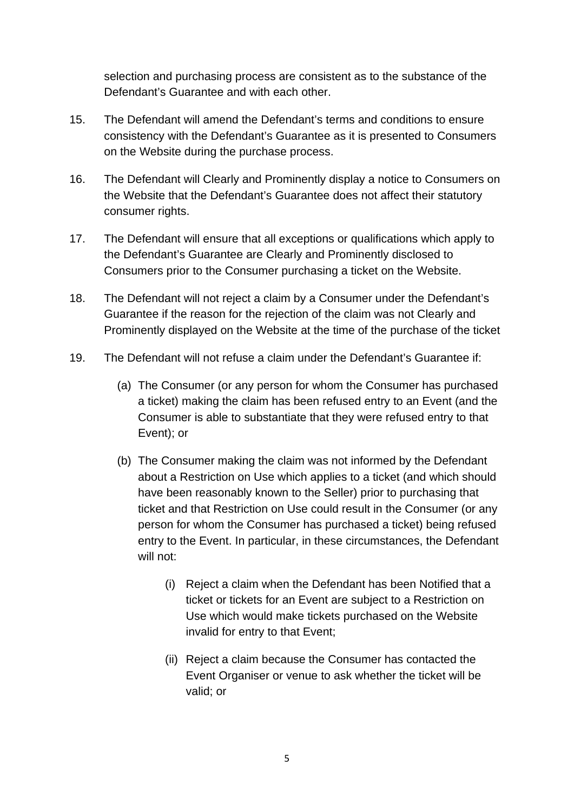selection and purchasing process are consistent as to the substance of the Defendant's Guarantee and with each other.

- 15. The Defendant will amend the Defendant's terms and conditions to ensure consistency with the Defendant's Guarantee as it is presented to Consumers on the Website during the purchase process.
- 16. The Defendant will Clearly and Prominently display a notice to Consumers on the Website that the Defendant's Guarantee does not affect their statutory consumer rights.
- 17. The Defendant will ensure that all exceptions or qualifications which apply to the Defendant's Guarantee are Clearly and Prominently disclosed to Consumers prior to the Consumer purchasing a ticket on the Website.
- 18. The Defendant will not reject a claim by a Consumer under the Defendant's Guarantee if the reason for the rejection of the claim was not Clearly and Prominently displayed on the Website at the time of the purchase of the ticket
- 19. The Defendant will not refuse a claim under the Defendant's Guarantee if:
	- (a) The Consumer (or any person for whom the Consumer has purchased a ticket) making the claim has been refused entry to an Event (and the Consumer is able to substantiate that they were refused entry to that Event); or
	- (b) The Consumer making the claim was not informed by the Defendant about a Restriction on Use which applies to a ticket (and which should have been reasonably known to the Seller) prior to purchasing that ticket and that Restriction on Use could result in the Consumer (or any person for whom the Consumer has purchased a ticket) being refused entry to the Event. In particular, in these circumstances, the Defendant will not:
		- (i) Reject a claim when the Defendant has been Notified that a ticket or tickets for an Event are subject to a Restriction on Use which would make tickets purchased on the Website invalid for entry to that Event;
		- (ii) Reject a claim because the Consumer has contacted the Event Organiser or venue to ask whether the ticket will be valid; or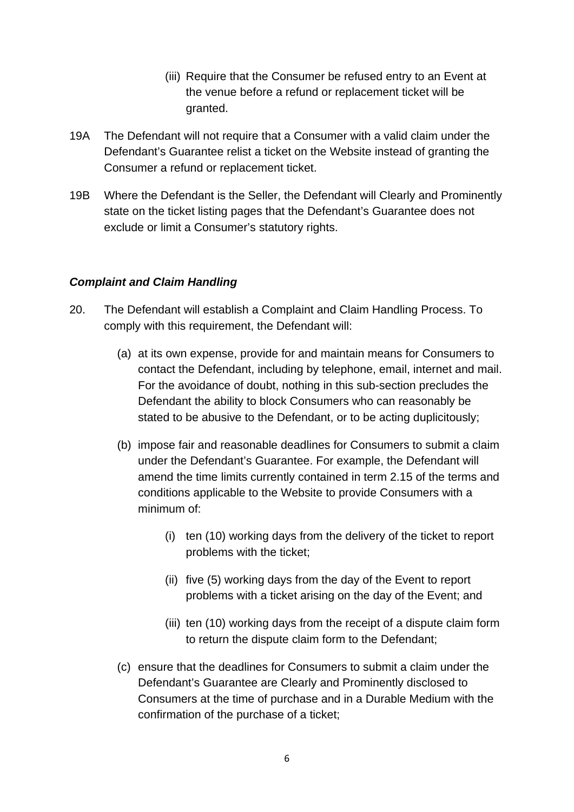- (iii) Require that the Consumer be refused entry to an Event at the venue before a refund or replacement ticket will be granted.
- 19A The Defendant will not require that a Consumer with a valid claim under the Defendant's Guarantee relist a ticket on the Website instead of granting the Consumer a refund or replacement ticket.
- 19B Where the Defendant is the Seller, the Defendant will Clearly and Prominently state on the ticket listing pages that the Defendant's Guarantee does not exclude or limit a Consumer's statutory rights.

# *Complaint and Claim Handling*

- 20. The Defendant will establish a Complaint and Claim Handling Process. To comply with this requirement, the Defendant will:
	- (a) at its own expense, provide for and maintain means for Consumers to contact the Defendant, including by telephone, email, internet and mail. For the avoidance of doubt, nothing in this sub-section precludes the Defendant the ability to block Consumers who can reasonably be stated to be abusive to the Defendant, or to be acting duplicitously;
	- (b) impose fair and reasonable deadlines for Consumers to submit a claim under the Defendant's Guarantee. For example, the Defendant will amend the time limits currently contained in term 2.15 of the terms and conditions applicable to the Website to provide Consumers with a minimum of:
		- (i) ten (10) working days from the delivery of the ticket to report problems with the ticket;
		- (ii) five (5) working days from the day of the Event to report problems with a ticket arising on the day of the Event; and
		- (iii) ten (10) working days from the receipt of a dispute claim form to return the dispute claim form to the Defendant;
	- (c) ensure that the deadlines for Consumers to submit a claim under the Defendant's Guarantee are Clearly and Prominently disclosed to Consumers at the time of purchase and in a Durable Medium with the confirmation of the purchase of a ticket;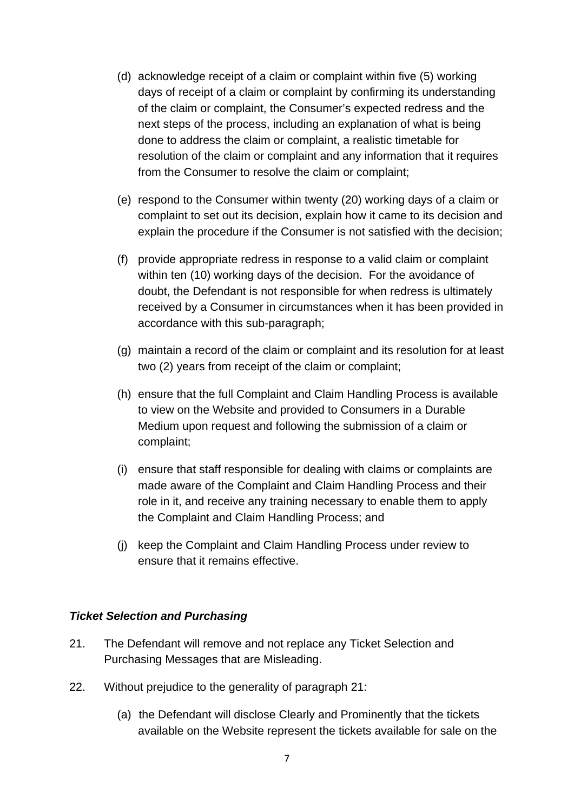- (d) acknowledge receipt of a claim or complaint within five (5) working days of receipt of a claim or complaint by confirming its understanding of the claim or complaint, the Consumer's expected redress and the next steps of the process, including an explanation of what is being done to address the claim or complaint, a realistic timetable for resolution of the claim or complaint and any information that it requires from the Consumer to resolve the claim or complaint;
- (e) respond to the Consumer within twenty (20) working days of a claim or complaint to set out its decision, explain how it came to its decision and explain the procedure if the Consumer is not satisfied with the decision;
- (f) provide appropriate redress in response to a valid claim or complaint within ten (10) working days of the decision. For the avoidance of doubt, the Defendant is not responsible for when redress is ultimately received by a Consumer in circumstances when it has been provided in accordance with this sub-paragraph;
- (g) maintain a record of the claim or complaint and its resolution for at least two (2) years from receipt of the claim or complaint;
- (h) ensure that the full Complaint and Claim Handling Process is available to view on the Website and provided to Consumers in a Durable Medium upon request and following the submission of a claim or complaint;
- (i) ensure that staff responsible for dealing with claims or complaints are made aware of the Complaint and Claim Handling Process and their role in it, and receive any training necessary to enable them to apply the Complaint and Claim Handling Process; and
- (j) keep the Complaint and Claim Handling Process under review to ensure that it remains effective.

### *Ticket Selection and Purchasing*

- 21. The Defendant will remove and not replace any Ticket Selection and Purchasing Messages that are Misleading.
- 22. Without prejudice to the generality of paragraph 21:
	- (a) the Defendant will disclose Clearly and Prominently that the tickets available on the Website represent the tickets available for sale on the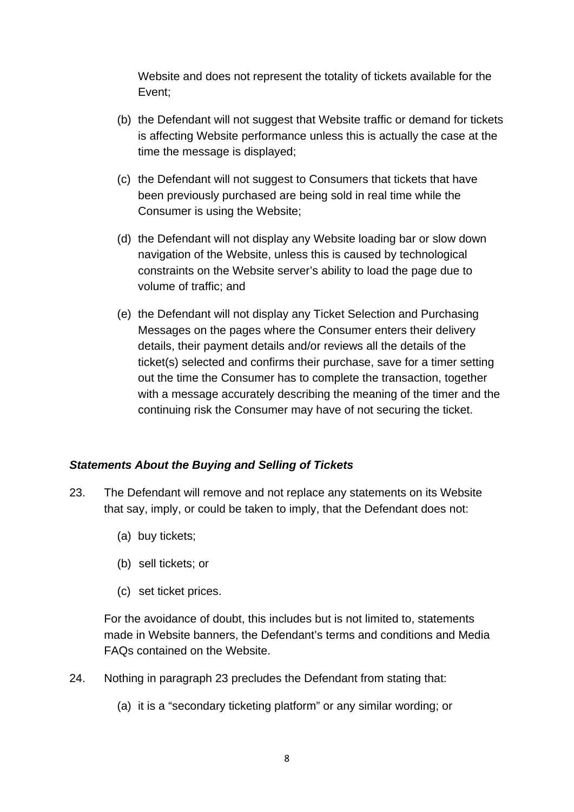Website and does not represent the totality of tickets available for the Event;

- (b) the Defendant will not suggest that Website traffic or demand for tickets is affecting Website performance unless this is actually the case at the time the message is displayed;
- (c) the Defendant will not suggest to Consumers that tickets that have been previously purchased are being sold in real time while the Consumer is using the Website;
- (d) the Defendant will not display any Website loading bar or slow down navigation of the Website, unless this is caused by technological constraints on the Website server's ability to load the page due to volume of traffic; and
- (e) the Defendant will not display any Ticket Selection and Purchasing Messages on the pages where the Consumer enters their delivery details, their payment details and/or reviews all the details of the ticket(s) selected and confirms their purchase, save for a timer setting out the time the Consumer has to complete the transaction, together with a message accurately describing the meaning of the timer and the continuing risk the Consumer may have of not securing the ticket.

# *Statements About the Buying and Selling of Tickets*

- 23. The Defendant will remove and not replace any statements on its Website that say, imply, or could be taken to imply, that the Defendant does not:
	- (a) buy tickets;
	- (b) sell tickets; or
	- (c) set ticket prices.

For the avoidance of doubt, this includes but is not limited to, statements made in Website banners, the Defendant's terms and conditions and Media FAQs contained on the Website.

- 24. Nothing in paragraph 23 precludes the Defendant from stating that:
	- (a) it is a "secondary ticketing platform" or any similar wording; or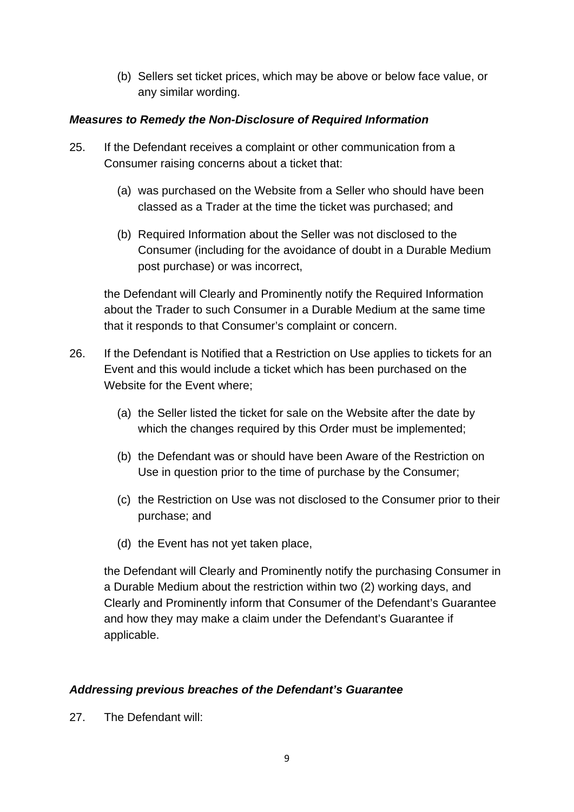(b) Sellers set ticket prices, which may be above or below face value, or any similar wording.

# *Measures to Remedy the Non-Disclosure of Required Information*

- 25. If the Defendant receives a complaint or other communication from a Consumer raising concerns about a ticket that:
	- (a) was purchased on the Website from a Seller who should have been classed as a Trader at the time the ticket was purchased; and
	- (b) Required Information about the Seller was not disclosed to the Consumer (including for the avoidance of doubt in a Durable Medium post purchase) or was incorrect,

the Defendant will Clearly and Prominently notify the Required Information about the Trader to such Consumer in a Durable Medium at the same time that it responds to that Consumer's complaint or concern.

- 26. If the Defendant is Notified that a Restriction on Use applies to tickets for an Event and this would include a ticket which has been purchased on the Website for the Event where;
	- (a) the Seller listed the ticket for sale on the Website after the date by which the changes required by this Order must be implemented;
	- (b) the Defendant was or should have been Aware of the Restriction on Use in question prior to the time of purchase by the Consumer;
	- (c) the Restriction on Use was not disclosed to the Consumer prior to their purchase; and
	- (d) the Event has not yet taken place,

the Defendant will Clearly and Prominently notify the purchasing Consumer in a Durable Medium about the restriction within two (2) working days, and Clearly and Prominently inform that Consumer of the Defendant's Guarantee and how they may make a claim under the Defendant's Guarantee if applicable.

# *Addressing previous breaches of the Defendant's Guarantee*

27. The Defendant will: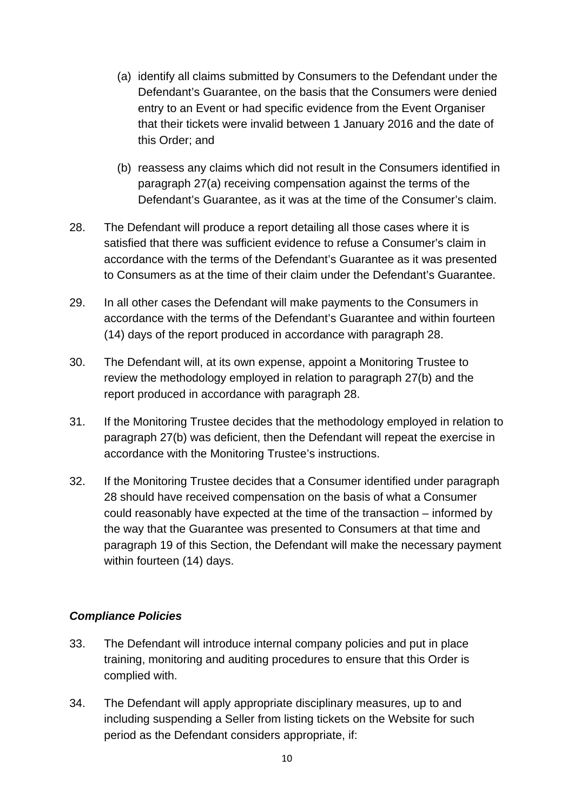- (a) identify all claims submitted by Consumers to the Defendant under the Defendant's Guarantee, on the basis that the Consumers were denied entry to an Event or had specific evidence from the Event Organiser that their tickets were invalid between 1 January 2016 and the date of this Order; and
- (b) reassess any claims which did not result in the Consumers identified in paragraph 27(a) receiving compensation against the terms of the Defendant's Guarantee, as it was at the time of the Consumer's claim.
- 28. The Defendant will produce a report detailing all those cases where it is satisfied that there was sufficient evidence to refuse a Consumer's claim in accordance with the terms of the Defendant's Guarantee as it was presented to Consumers as at the time of their claim under the Defendant's Guarantee.
- 29. In all other cases the Defendant will make payments to the Consumers in accordance with the terms of the Defendant's Guarantee and within fourteen (14) days of the report produced in accordance with paragraph 28.
- 30. The Defendant will, at its own expense, appoint a Monitoring Trustee to review the methodology employed in relation to paragraph 27(b) and the report produced in accordance with paragraph 28.
- 31. If the Monitoring Trustee decides that the methodology employed in relation to paragraph 27(b) was deficient, then the Defendant will repeat the exercise in accordance with the Monitoring Trustee's instructions.
- 32. If the Monitoring Trustee decides that a Consumer identified under paragraph 28 should have received compensation on the basis of what a Consumer could reasonably have expected at the time of the transaction – informed by the way that the Guarantee was presented to Consumers at that time and paragraph 19 of this Section, the Defendant will make the necessary payment within fourteen (14) days.

# *Compliance Policies*

- 33. The Defendant will introduce internal company policies and put in place training, monitoring and auditing procedures to ensure that this Order is complied with.
- 34. The Defendant will apply appropriate disciplinary measures, up to and including suspending a Seller from listing tickets on the Website for such period as the Defendant considers appropriate, if: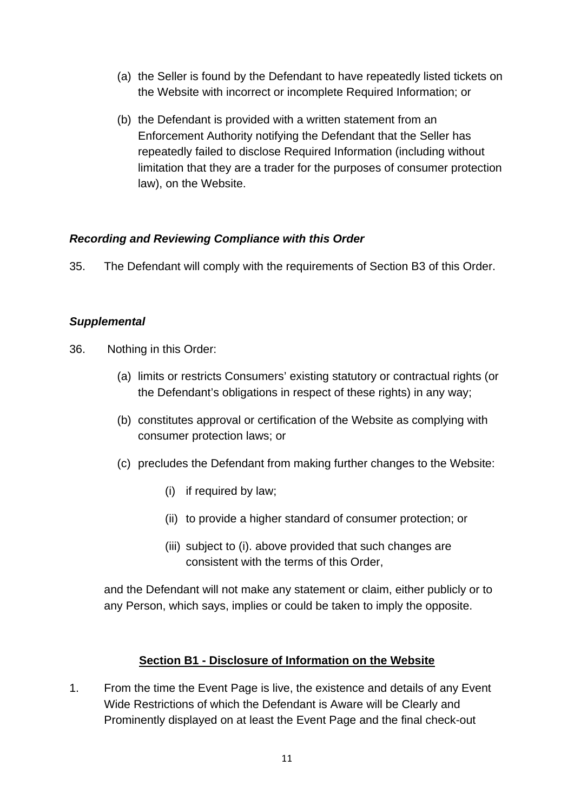- (a) the Seller is found by the Defendant to have repeatedly listed tickets on the Website with incorrect or incomplete Required Information; or
- (b) the Defendant is provided with a written statement from an Enforcement Authority notifying the Defendant that the Seller has repeatedly failed to disclose Required Information (including without limitation that they are a trader for the purposes of consumer protection law), on the Website.

# *Recording and Reviewing Compliance with this Order*

35. The Defendant will comply with the requirements of Section B3 of this Order.

### *Supplemental*

- 36. Nothing in this Order:
	- (a) limits or restricts Consumers' existing statutory or contractual rights (or the Defendant's obligations in respect of these rights) in any way;
	- (b) constitutes approval or certification of the Website as complying with consumer protection laws; or
	- (c) precludes the Defendant from making further changes to the Website:
		- (i) if required by law;
		- (ii) to provide a higher standard of consumer protection; or
		- (iii) subject to (i). above provided that such changes are consistent with the terms of this Order,

and the Defendant will not make any statement or claim, either publicly or to any Person, which says, implies or could be taken to imply the opposite.

### **Section B1 - Disclosure of Information on the Website**

1. From the time the Event Page is live, the existence and details of any Event Wide Restrictions of which the Defendant is Aware will be Clearly and Prominently displayed on at least the Event Page and the final check-out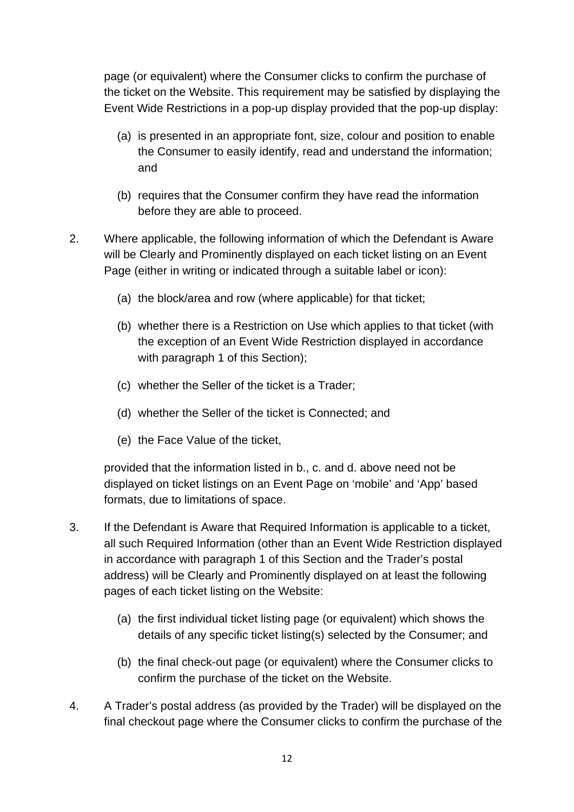page (or equivalent) where the Consumer clicks to confirm the purchase of the ticket on the Website. This requirement may be satisfied by displaying the Event Wide Restrictions in a pop-up display provided that the pop-up display:

- (a) is presented in an appropriate font, size, colour and position to enable the Consumer to easily identify, read and understand the information; and
- (b) requires that the Consumer confirm they have read the information before they are able to proceed.
- 2. Where applicable, the following information of which the Defendant is Aware will be Clearly and Prominently displayed on each ticket listing on an Event Page (either in writing or indicated through a suitable label or icon):
	- (a) the block/area and row (where applicable) for that ticket;
	- (b) whether there is a Restriction on Use which applies to that ticket (with the exception of an Event Wide Restriction displayed in accordance with paragraph 1 of this Section);
	- (c) whether the Seller of the ticket is a Trader;
	- (d) whether the Seller of the ticket is Connected; and
	- (e) the Face Value of the ticket,

provided that the information listed in b., c. and d. above need not be displayed on ticket listings on an Event Page on 'mobile' and 'App' based formats, due to limitations of space.

- 3. If the Defendant is Aware that Required Information is applicable to a ticket, all such Required Information (other than an Event Wide Restriction displayed in accordance with paragraph 1 of this Section and the Trader's postal address) will be Clearly and Prominently displayed on at least the following pages of each ticket listing on the Website:
	- (a) the first individual ticket listing page (or equivalent) which shows the details of any specific ticket listing(s) selected by the Consumer; and
	- (b) the final check-out page (or equivalent) where the Consumer clicks to confirm the purchase of the ticket on the Website.
- 4. A Trader's postal address (as provided by the Trader) will be displayed on the final checkout page where the Consumer clicks to confirm the purchase of the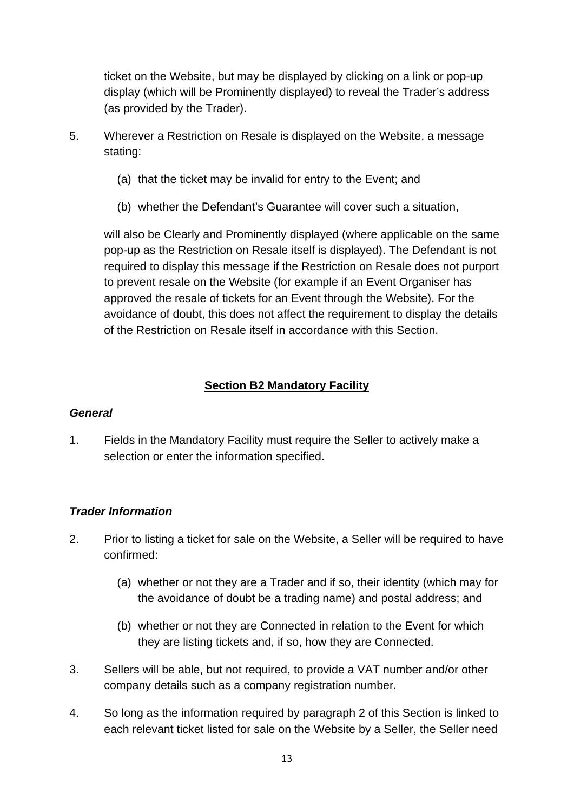ticket on the Website, but may be displayed by clicking on a link or pop-up display (which will be Prominently displayed) to reveal the Trader's address (as provided by the Trader).

- 5. Wherever a Restriction on Resale is displayed on the Website, a message stating:
	- (a) that the ticket may be invalid for entry to the Event; and
	- (b) whether the Defendant's Guarantee will cover such a situation,

will also be Clearly and Prominently displayed (where applicable on the same pop-up as the Restriction on Resale itself is displayed). The Defendant is not required to display this message if the Restriction on Resale does not purport to prevent resale on the Website (for example if an Event Organiser has approved the resale of tickets for an Event through the Website). For the avoidance of doubt, this does not affect the requirement to display the details of the Restriction on Resale itself in accordance with this Section.

# **Section B2 Mandatory Facility**

### *General*

1. Fields in the Mandatory Facility must require the Seller to actively make a selection or enter the information specified.

### *Trader Information*

- 2. Prior to listing a ticket for sale on the Website, a Seller will be required to have confirmed:
	- (a) whether or not they are a Trader and if so, their identity (which may for the avoidance of doubt be a trading name) and postal address; and
	- (b) whether or not they are Connected in relation to the Event for which they are listing tickets and, if so, how they are Connected.
- 3. Sellers will be able, but not required, to provide a VAT number and/or other company details such as a company registration number.
- 4. So long as the information required by paragraph 2 of this Section is linked to each relevant ticket listed for sale on the Website by a Seller, the Seller need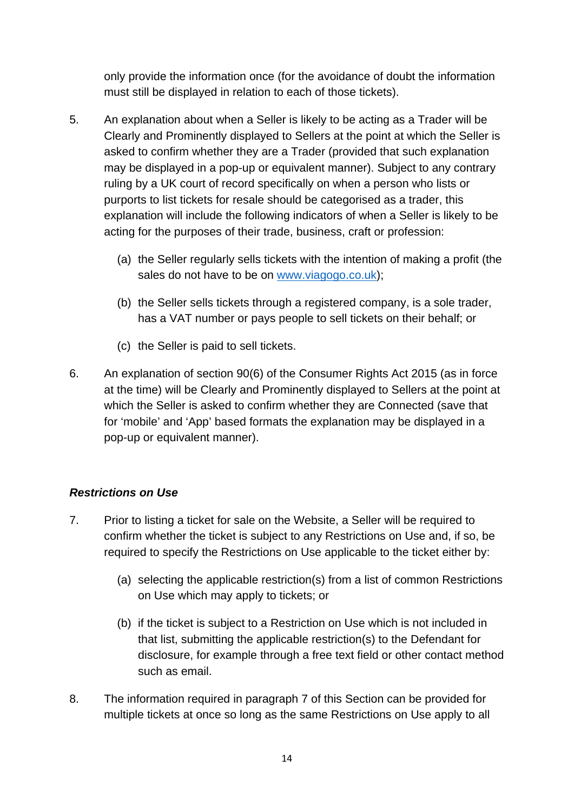only provide the information once (for the avoidance of doubt the information must still be displayed in relation to each of those tickets).

- 5. An explanation about when a Seller is likely to be acting as a Trader will be Clearly and Prominently displayed to Sellers at the point at which the Seller is asked to confirm whether they are a Trader (provided that such explanation may be displayed in a pop-up or equivalent manner). Subject to any contrary ruling by a UK court of record specifically on when a person who lists or purports to list tickets for resale should be categorised as a trader, this explanation will include the following indicators of when a Seller is likely to be acting for the purposes of their trade, business, craft or profession:
	- (a) the Seller regularly sells tickets with the intention of making a profit (the sales do not have to be on [www.viagogo.co.uk\)](http://www.viagogo.co.uk);
	- (b) the Seller sells tickets through a registered company, is a sole trader, has a VAT number or pays people to sell tickets on their behalf; or
	- (c) the Seller is paid to sell tickets.
- 6. An explanation of section 90(6) of the Consumer Rights Act 2015 (as in force at the time) will be Clearly and Prominently displayed to Sellers at the point at which the Seller is asked to confirm whether they are Connected (save that for 'mobile' and 'App' based formats the explanation may be displayed in a pop-up or equivalent manner).

# *Restrictions on Use*

- 7. Prior to listing a ticket for sale on the Website, a Seller will be required to confirm whether the ticket is subject to any Restrictions on Use and, if so, be required to specify the Restrictions on Use applicable to the ticket either by:
	- (a) selecting the applicable restriction(s) from a list of common Restrictions on Use which may apply to tickets; or
	- (b) if the ticket is subject to a Restriction on Use which is not included in that list, submitting the applicable restriction(s) to the Defendant for disclosure, for example through a free text field or other contact method such as email.
- 8. The information required in paragraph 7 of this Section can be provided for multiple tickets at once so long as the same Restrictions on Use apply to all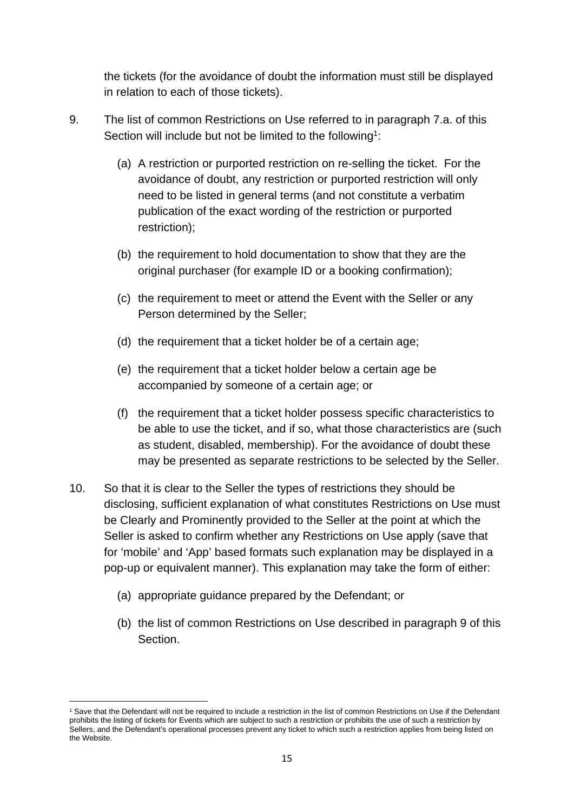the tickets (for the avoidance of doubt the information must still be displayed in relation to each of those tickets).

- 9. The list of common Restrictions on Use referred to in paragraph 7.a. of this Section will include but not be limited to the following<sup>1</sup>:
	- (a) A restriction or purported restriction on re-selling the ticket. For the avoidance of doubt, any restriction or purported restriction will only need to be listed in general terms (and not constitute a verbatim publication of the exact wording of the restriction or purported restriction);
	- (b) the requirement to hold documentation to show that they are the original purchaser (for example ID or a booking confirmation);
	- (c) the requirement to meet or attend the Event with the Seller or any Person determined by the Seller;
	- (d) the requirement that a ticket holder be of a certain age;
	- (e) the requirement that a ticket holder below a certain age be accompanied by someone of a certain age; or
	- (f) the requirement that a ticket holder possess specific characteristics to be able to use the ticket, and if so, what those characteristics are (such as student, disabled, membership). For the avoidance of doubt these may be presented as separate restrictions to be selected by the Seller.
- 10. So that it is clear to the Seller the types of restrictions they should be disclosing, sufficient explanation of what constitutes Restrictions on Use must be Clearly and Prominently provided to the Seller at the point at which the Seller is asked to confirm whether any Restrictions on Use apply (save that for 'mobile' and 'App' based formats such explanation may be displayed in a pop-up or equivalent manner). This explanation may take the form of either:
	- (a) appropriate guidance prepared by the Defendant; or
	- (b) the list of common Restrictions on Use described in paragraph 9 of this Section.

<sup>&</sup>lt;sup>1</sup> Save that the Defendant will not be required to include a restriction in the list of common Restrictions on Use if the Defendant prohibits the listing of tickets for Events which are subject to such a restriction or prohibits the use of such a restriction by Sellers, and the Defendant's operational processes prevent any ticket to which such a restriction applies from being listed on the Website.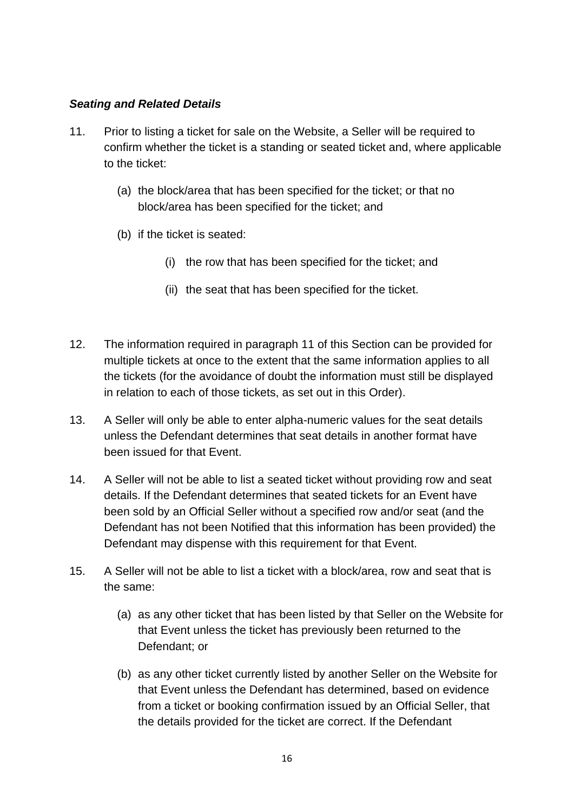# *Seating and Related Details*

- 11. Prior to listing a ticket for sale on the Website, a Seller will be required to confirm whether the ticket is a standing or seated ticket and, where applicable to the ticket:
	- (a) the block/area that has been specified for the ticket; or that no block/area has been specified for the ticket; and
	- (b) if the ticket is seated:
		- (i) the row that has been specified for the ticket; and
		- (ii) the seat that has been specified for the ticket.
- 12. The information required in paragraph 11 of this Section can be provided for multiple tickets at once to the extent that the same information applies to all the tickets (for the avoidance of doubt the information must still be displayed in relation to each of those tickets, as set out in this Order).
- 13. A Seller will only be able to enter alpha-numeric values for the seat details unless the Defendant determines that seat details in another format have been issued for that Event.
- 14. A Seller will not be able to list a seated ticket without providing row and seat details. If the Defendant determines that seated tickets for an Event have been sold by an Official Seller without a specified row and/or seat (and the Defendant has not been Notified that this information has been provided) the Defendant may dispense with this requirement for that Event.
- 15. A Seller will not be able to list a ticket with a block/area, row and seat that is the same:
	- (a) as any other ticket that has been listed by that Seller on the Website for that Event unless the ticket has previously been returned to the Defendant; or
	- (b) as any other ticket currently listed by another Seller on the Website for that Event unless the Defendant has determined, based on evidence from a ticket or booking confirmation issued by an Official Seller, that the details provided for the ticket are correct. If the Defendant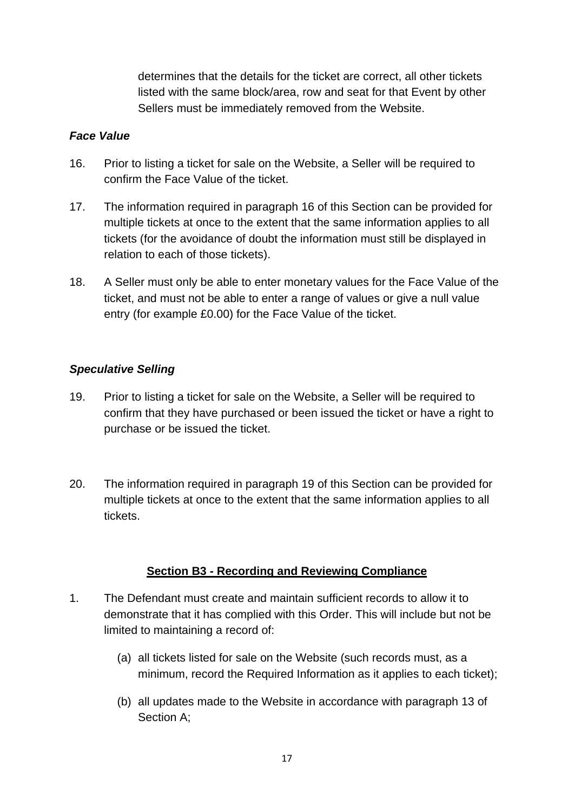determines that the details for the ticket are correct, all other tickets listed with the same block/area, row and seat for that Event by other Sellers must be immediately removed from the Website.

### *Face Value*

- 16. Prior to listing a ticket for sale on the Website, a Seller will be required to confirm the Face Value of the ticket.
- 17. The information required in paragraph 16 of this Section can be provided for multiple tickets at once to the extent that the same information applies to all tickets (for the avoidance of doubt the information must still be displayed in relation to each of those tickets).
- 18. A Seller must only be able to enter monetary values for the Face Value of the ticket, and must not be able to enter a range of values or give a null value entry (for example £0.00) for the Face Value of the ticket.

# *Speculative Selling*

- 19. Prior to listing a ticket for sale on the Website, a Seller will be required to confirm that they have purchased or been issued the ticket or have a right to purchase or be issued the ticket.
- 20. The information required in paragraph 19 of this Section can be provided for multiple tickets at once to the extent that the same information applies to all tickets.

# **Section B3 - Recording and Reviewing Compliance**

- 1. The Defendant must create and maintain sufficient records to allow it to demonstrate that it has complied with this Order. This will include but not be limited to maintaining a record of:
	- (a) all tickets listed for sale on the Website (such records must, as a minimum, record the Required Information as it applies to each ticket);
	- (b) all updates made to the Website in accordance with paragraph 13 of Section A;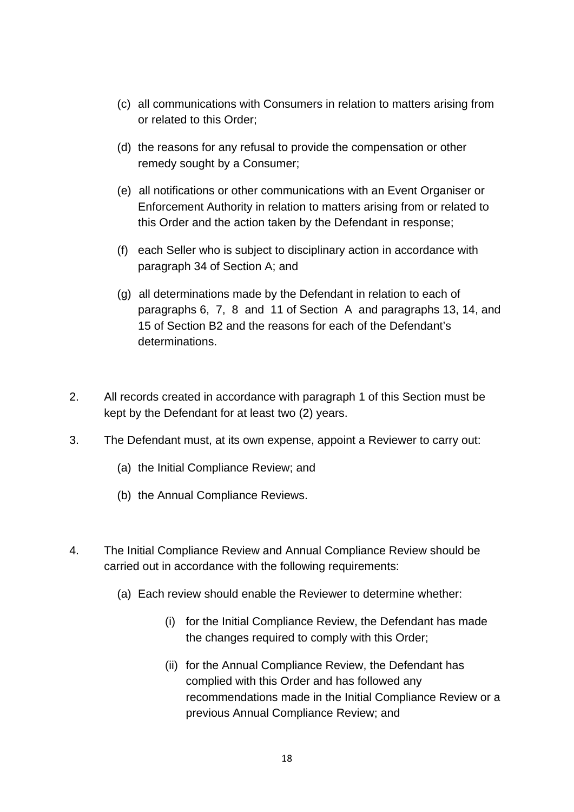- (c) all communications with Consumers in relation to matters arising from or related to this Order;
- (d) the reasons for any refusal to provide the compensation or other remedy sought by a Consumer;
- (e) all notifications or other communications with an Event Organiser or Enforcement Authority in relation to matters arising from or related to this Order and the action taken by the Defendant in response;
- (f) each Seller who is subject to disciplinary action in accordance with paragraph 34 of Section A; and
- (g) all determinations made by the Defendant in relation to each of paragraphs 6, 7, 8 and 11 of Section A and paragraphs 13, 14, and 15 of Section B2 and the reasons for each of the Defendant's determinations.
- 2. All records created in accordance with paragraph 1 of this Section must be kept by the Defendant for at least two (2) years.
- 3. The Defendant must, at its own expense, appoint a Reviewer to carry out:
	- (a) the Initial Compliance Review; and
	- (b) the Annual Compliance Reviews.
- 4. The Initial Compliance Review and Annual Compliance Review should be carried out in accordance with the following requirements:
	- (a) Each review should enable the Reviewer to determine whether:
		- (i) for the Initial Compliance Review, the Defendant has made the changes required to comply with this Order;
		- (ii) for the Annual Compliance Review, the Defendant has complied with this Order and has followed any recommendations made in the Initial Compliance Review or a previous Annual Compliance Review; and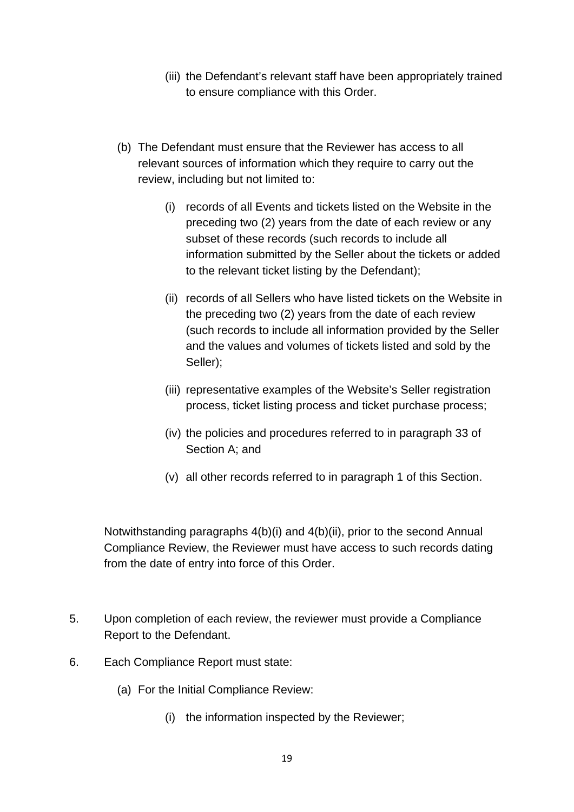- (iii) the Defendant's relevant staff have been appropriately trained to ensure compliance with this Order.
- (b) The Defendant must ensure that the Reviewer has access to all relevant sources of information which they require to carry out the review, including but not limited to:
	- (i) records of all Events and tickets listed on the Website in the preceding two (2) years from the date of each review or any subset of these records (such records to include all information submitted by the Seller about the tickets or added to the relevant ticket listing by the Defendant);
	- (ii) records of all Sellers who have listed tickets on the Website in the preceding two (2) years from the date of each review (such records to include all information provided by the Seller and the values and volumes of tickets listed and sold by the Seller);
	- (iii) representative examples of the Website's Seller registration process, ticket listing process and ticket purchase process;
	- (iv) the policies and procedures referred to in paragraph 33 of Section A; and
	- (v) all other records referred to in paragraph 1 of this Section.

Notwithstanding paragraphs 4(b)(i) and 4(b)(ii), prior to the second Annual Compliance Review, the Reviewer must have access to such records dating from the date of entry into force of this Order.

- 5. Upon completion of each review, the reviewer must provide a Compliance Report to the Defendant.
- 6. Each Compliance Report must state:
	- (a) For the Initial Compliance Review:
		- (i) the information inspected by the Reviewer;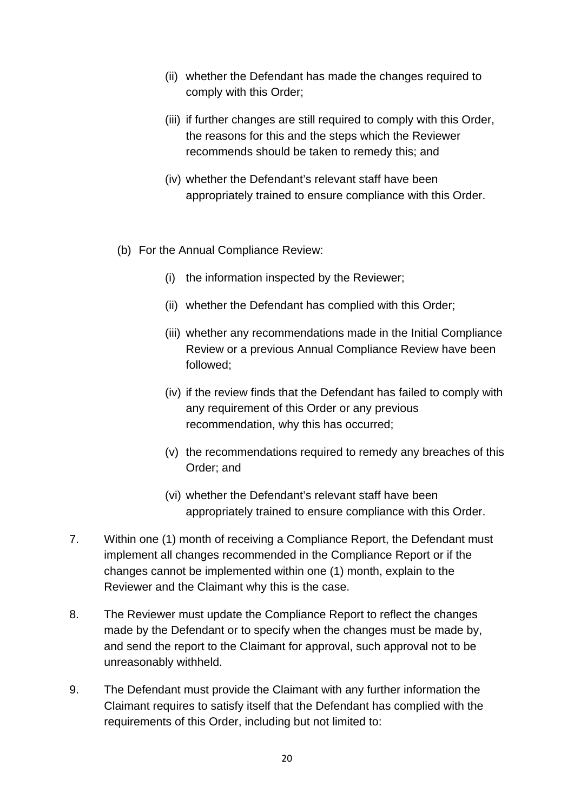- (ii) whether the Defendant has made the changes required to comply with this Order;
- (iii) if further changes are still required to comply with this Order, the reasons for this and the steps which the Reviewer recommends should be taken to remedy this; and
- (iv) whether the Defendant's relevant staff have been appropriately trained to ensure compliance with this Order.
- (b) For the Annual Compliance Review:
	- (i) the information inspected by the Reviewer;
	- (ii) whether the Defendant has complied with this Order;
	- (iii) whether any recommendations made in the Initial Compliance Review or a previous Annual Compliance Review have been followed;
	- (iv) if the review finds that the Defendant has failed to comply with any requirement of this Order or any previous recommendation, why this has occurred;
	- (v) the recommendations required to remedy any breaches of this Order; and
	- (vi) whether the Defendant's relevant staff have been appropriately trained to ensure compliance with this Order.
- 7. Within one (1) month of receiving a Compliance Report, the Defendant must implement all changes recommended in the Compliance Report or if the changes cannot be implemented within one (1) month, explain to the Reviewer and the Claimant why this is the case.
- 8. The Reviewer must update the Compliance Report to reflect the changes made by the Defendant or to specify when the changes must be made by, and send the report to the Claimant for approval, such approval not to be unreasonably withheld.
- 9. The Defendant must provide the Claimant with any further information the Claimant requires to satisfy itself that the Defendant has complied with the requirements of this Order, including but not limited to: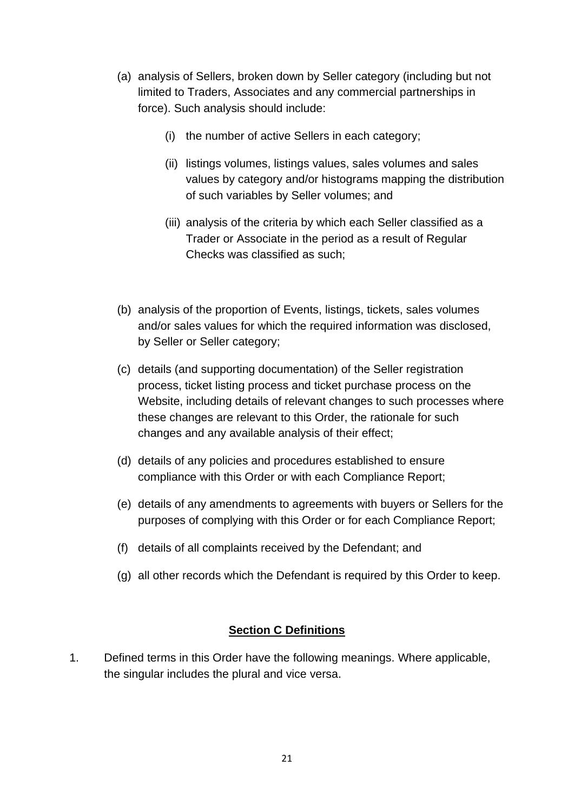- (a) analysis of Sellers, broken down by Seller category (including but not limited to Traders, Associates and any commercial partnerships in force). Such analysis should include:
	- (i) the number of active Sellers in each category;
	- (ii) listings volumes, listings values, sales volumes and sales values by category and/or histograms mapping the distribution of such variables by Seller volumes; and
	- (iii) analysis of the criteria by which each Seller classified as a Trader or Associate in the period as a result of Regular Checks was classified as such;
- (b) analysis of the proportion of Events, listings, tickets, sales volumes and/or sales values for which the required information was disclosed, by Seller or Seller category;
- (c) details (and supporting documentation) of the Seller registration process, ticket listing process and ticket purchase process on the Website, including details of relevant changes to such processes where these changes are relevant to this Order, the rationale for such changes and any available analysis of their effect;
- (d) details of any policies and procedures established to ensure compliance with this Order or with each Compliance Report;
- (e) details of any amendments to agreements with buyers or Sellers for the purposes of complying with this Order or for each Compliance Report;
- (f) details of all complaints received by the Defendant; and
- (g) all other records which the Defendant is required by this Order to keep.

# **Section C Definitions**

1. Defined terms in this Order have the following meanings. Where applicable, the singular includes the plural and vice versa.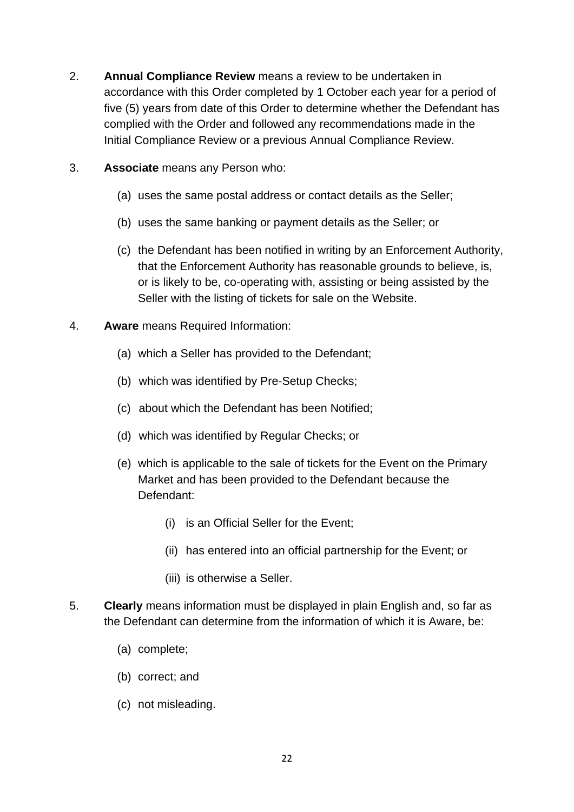- 2. **Annual Compliance Review** means a review to be undertaken in accordance with this Order completed by 1 October each year for a period of five (5) years from date of this Order to determine whether the Defendant has complied with the Order and followed any recommendations made in the Initial Compliance Review or a previous Annual Compliance Review.
- 3. **Associate** means any Person who:
	- (a) uses the same postal address or contact details as the Seller;
	- (b) uses the same banking or payment details as the Seller; or
	- (c) the Defendant has been notified in writing by an Enforcement Authority, that the Enforcement Authority has reasonable grounds to believe, is, or is likely to be, co-operating with, assisting or being assisted by the Seller with the listing of tickets for sale on the Website.
- 4. **Aware** means Required Information:
	- (a) which a Seller has provided to the Defendant;
	- (b) which was identified by Pre-Setup Checks;
	- (c) about which the Defendant has been Notified;
	- (d) which was identified by Regular Checks; or
	- (e) which is applicable to the sale of tickets for the Event on the Primary Market and has been provided to the Defendant because the Defendant:
		- (i) is an Official Seller for the Event;
		- (ii) has entered into an official partnership for the Event; or
		- (iii) is otherwise a Seller.
- 5. **Clearly** means information must be displayed in plain English and, so far as the Defendant can determine from the information of which it is Aware, be:
	- (a) complete;
	- (b) correct; and
	- (c) not misleading.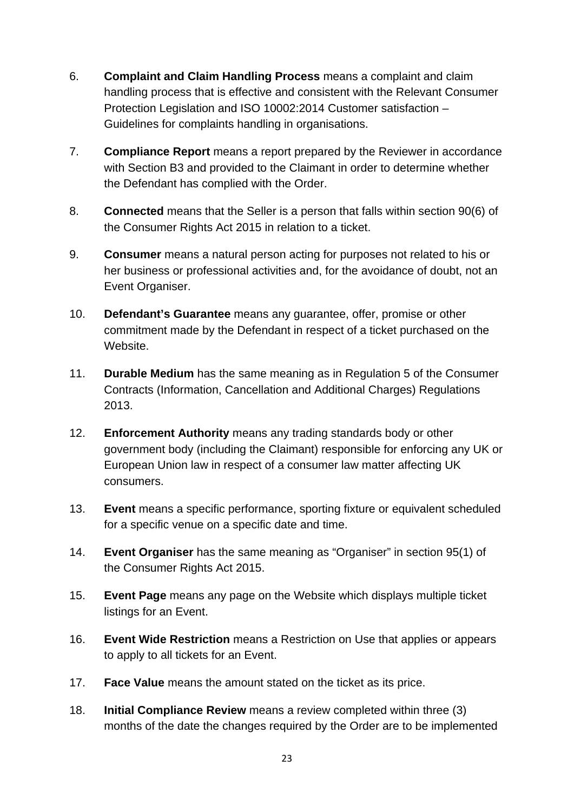- 6. **Complaint and Claim Handling Process** means a complaint and claim handling process that is effective and consistent with the Relevant Consumer Protection Legislation and ISO 10002:2014 Customer satisfaction – Guidelines for complaints handling in organisations.
- 7. **Compliance Report** means a report prepared by the Reviewer in accordance with Section B3 and provided to the Claimant in order to determine whether the Defendant has complied with the Order.
- 8. **Connected** means that the Seller is a person that falls within section 90(6) of the Consumer Rights Act 2015 in relation to a ticket.
- 9. **Consumer** means a natural person acting for purposes not related to his or her business or professional activities and, for the avoidance of doubt, not an Event Organiser.
- 10. **Defendant's Guarantee** means any guarantee, offer, promise or other commitment made by the Defendant in respect of a ticket purchased on the Website.
- 11. **Durable Medium** has the same meaning as in Regulation 5 of the Consumer Contracts (Information, Cancellation and Additional Charges) Regulations 2013.
- 12. **Enforcement Authority** means any trading standards body or other government body (including the Claimant) responsible for enforcing any UK or European Union law in respect of a consumer law matter affecting UK consumers.
- 13. **Event** means a specific performance, sporting fixture or equivalent scheduled for a specific venue on a specific date and time.
- 14. **Event Organiser** has the same meaning as "Organiser" in section 95(1) of the Consumer Rights Act 2015.
- 15. **Event Page** means any page on the Website which displays multiple ticket listings for an Event.
- 16. **Event Wide Restriction** means a Restriction on Use that applies or appears to apply to all tickets for an Event.
- 17. **Face Value** means the amount stated on the ticket as its price.
- 18. **Initial Compliance Review** means a review completed within three (3) months of the date the changes required by the Order are to be implemented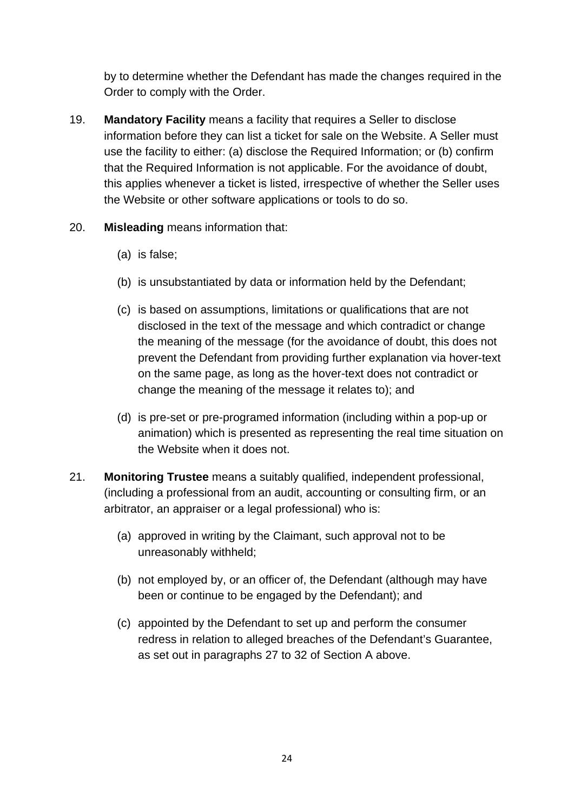by to determine whether the Defendant has made the changes required in the Order to comply with the Order.

- 19. **Mandatory Facility** means a facility that requires a Seller to disclose information before they can list a ticket for sale on the Website. A Seller must use the facility to either: (a) disclose the Required Information; or (b) confirm that the Required Information is not applicable. For the avoidance of doubt, this applies whenever a ticket is listed, irrespective of whether the Seller uses the Website or other software applications or tools to do so.
- 20. **Misleading** means information that:
	- (a) is false;
	- (b) is unsubstantiated by data or information held by the Defendant;
	- (c) is based on assumptions, limitations or qualifications that are not disclosed in the text of the message and which contradict or change the meaning of the message (for the avoidance of doubt, this does not prevent the Defendant from providing further explanation via hover-text on the same page, as long as the hover-text does not contradict or change the meaning of the message it relates to); and
	- (d) is pre-set or pre-programed information (including within a pop-up or animation) which is presented as representing the real time situation on the Website when it does not.
- 21. **Monitoring Trustee** means a suitably qualified, independent professional, (including a professional from an audit, accounting or consulting firm, or an arbitrator, an appraiser or a legal professional) who is:
	- (a) approved in writing by the Claimant, such approval not to be unreasonably withheld;
	- (b) not employed by, or an officer of, the Defendant (although may have been or continue to be engaged by the Defendant); and
	- (c) appointed by the Defendant to set up and perform the consumer redress in relation to alleged breaches of the Defendant's Guarantee, as set out in paragraphs 27 to 32 of Section A above.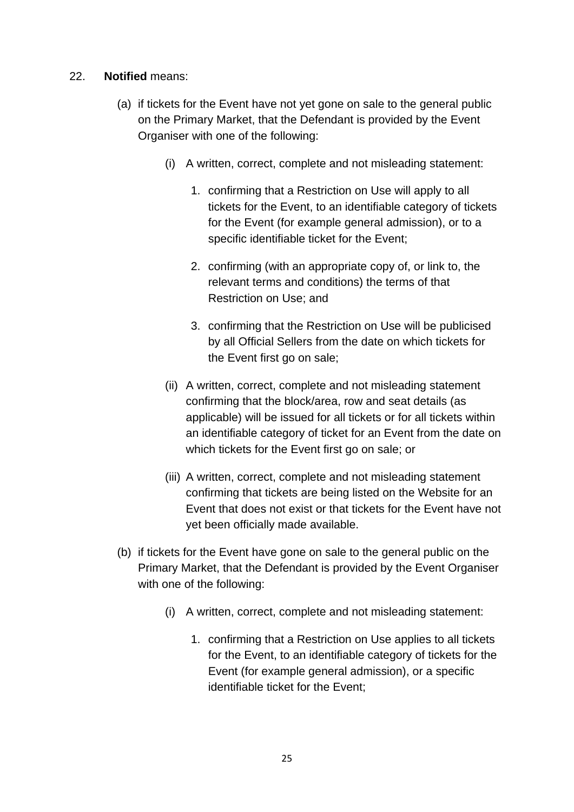### 22. **Notified** means:

- (a) if tickets for the Event have not yet gone on sale to the general public on the Primary Market, that the Defendant is provided by the Event Organiser with one of the following:
	- (i) A written, correct, complete and not misleading statement:
		- 1. confirming that a Restriction on Use will apply to all tickets for the Event, to an identifiable category of tickets for the Event (for example general admission), or to a specific identifiable ticket for the Event;
		- 2. confirming (with an appropriate copy of, or link to, the relevant terms and conditions) the terms of that Restriction on Use; and
		- 3. confirming that the Restriction on Use will be publicised by all Official Sellers from the date on which tickets for the Event first go on sale:
	- (ii) A written, correct, complete and not misleading statement confirming that the block/area, row and seat details (as applicable) will be issued for all tickets or for all tickets within an identifiable category of ticket for an Event from the date on which tickets for the Event first go on sale; or
	- (iii) A written, correct, complete and not misleading statement confirming that tickets are being listed on the Website for an Event that does not exist or that tickets for the Event have not yet been officially made available.
- (b) if tickets for the Event have gone on sale to the general public on the Primary Market, that the Defendant is provided by the Event Organiser with one of the following:
	- (i) A written, correct, complete and not misleading statement:
		- 1. confirming that a Restriction on Use applies to all tickets for the Event, to an identifiable category of tickets for the Event (for example general admission), or a specific identifiable ticket for the Event;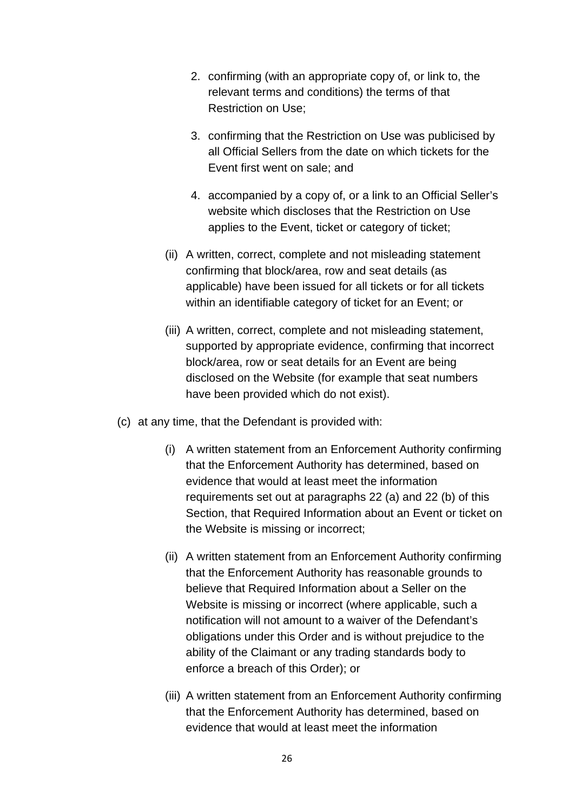- 2. confirming (with an appropriate copy of, or link to, the relevant terms and conditions) the terms of that Restriction on Use;
- 3. confirming that the Restriction on Use was publicised by all Official Sellers from the date on which tickets for the Event first went on sale; and
- 4. accompanied by a copy of, or a link to an Official Seller's website which discloses that the Restriction on Use applies to the Event, ticket or category of ticket;
- (ii) A written, correct, complete and not misleading statement confirming that block/area, row and seat details (as applicable) have been issued for all tickets or for all tickets within an identifiable category of ticket for an Event; or
- (iii) A written, correct, complete and not misleading statement, supported by appropriate evidence, confirming that incorrect block/area, row or seat details for an Event are being disclosed on the Website (for example that seat numbers have been provided which do not exist).
- (c) at any time, that the Defendant is provided with:
	- (i) A written statement from an Enforcement Authority confirming that the Enforcement Authority has determined, based on evidence that would at least meet the information requirements set out at paragraphs 22 (a) and 22 (b) of this Section, that Required Information about an Event or ticket on the Website is missing or incorrect;
	- (ii) A written statement from an Enforcement Authority confirming that the Enforcement Authority has reasonable grounds to believe that Required Information about a Seller on the Website is missing or incorrect (where applicable, such a notification will not amount to a waiver of the Defendant's obligations under this Order and is without prejudice to the ability of the Claimant or any trading standards body to enforce a breach of this Order); or
	- (iii) A written statement from an Enforcement Authority confirming that the Enforcement Authority has determined, based on evidence that would at least meet the information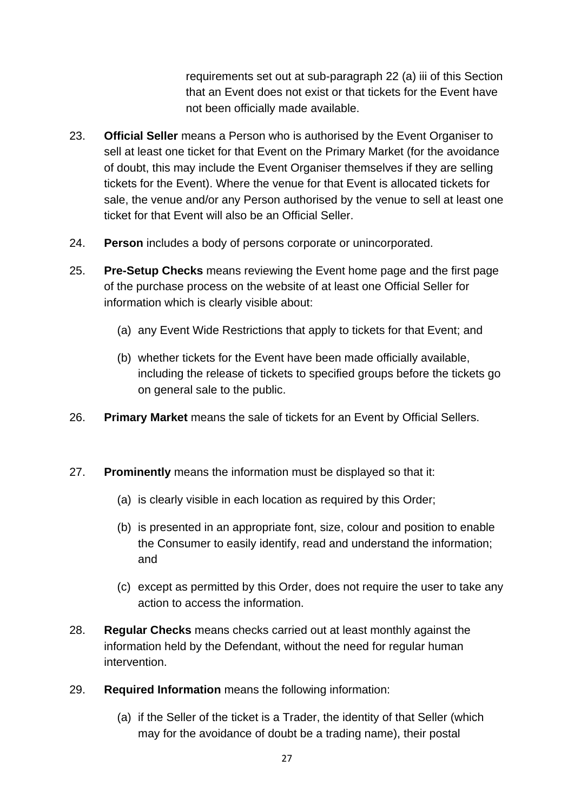requirements set out at sub-paragraph 22 (a) iii of this Section that an Event does not exist or that tickets for the Event have not been officially made available.

- 23. **Official Seller** means a Person who is authorised by the Event Organiser to sell at least one ticket for that Event on the Primary Market (for the avoidance of doubt, this may include the Event Organiser themselves if they are selling tickets for the Event). Where the venue for that Event is allocated tickets for sale, the venue and/or any Person authorised by the venue to sell at least one ticket for that Event will also be an Official Seller.
- 24. **Person** includes a body of persons corporate or unincorporated.
- 25. **Pre-Setup Checks** means reviewing the Event home page and the first page of the purchase process on the website of at least one Official Seller for information which is clearly visible about:
	- (a) any Event Wide Restrictions that apply to tickets for that Event; and
	- (b) whether tickets for the Event have been made officially available, including the release of tickets to specified groups before the tickets go on general sale to the public.
- 26. **Primary Market** means the sale of tickets for an Event by Official Sellers.
- 27. **Prominently** means the information must be displayed so that it:
	- (a) is clearly visible in each location as required by this Order;
	- (b) is presented in an appropriate font, size, colour and position to enable the Consumer to easily identify, read and understand the information; and
	- (c) except as permitted by this Order, does not require the user to take any action to access the information.
- 28. **Regular Checks** means checks carried out at least monthly against the information held by the Defendant, without the need for regular human intervention.
- 29. **Required Information** means the following information:
	- (a) if the Seller of the ticket is a Trader, the identity of that Seller (which may for the avoidance of doubt be a trading name), their postal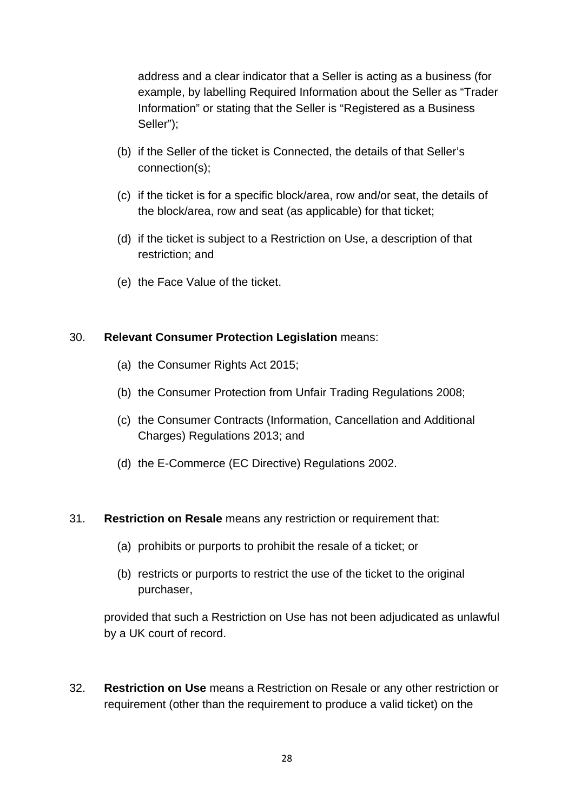address and a clear indicator that a Seller is acting as a business (for example, by labelling Required Information about the Seller as "Trader Information" or stating that the Seller is "Registered as a Business Seller");

- (b) if the Seller of the ticket is Connected, the details of that Seller's connection(s);
- (c) if the ticket is for a specific block/area, row and/or seat, the details of the block/area, row and seat (as applicable) for that ticket;
- (d) if the ticket is subject to a Restriction on Use, a description of that restriction; and
- (e) the Face Value of the ticket.

### 30. **Relevant Consumer Protection Legislation** means:

- (a) the Consumer Rights Act 2015;
- (b) the Consumer Protection from Unfair Trading Regulations 2008;
- (c) the Consumer Contracts (Information, Cancellation and Additional Charges) Regulations 2013; and
- (d) the E-Commerce (EC Directive) Regulations 2002.

### 31. **Restriction on Resale** means any restriction or requirement that:

- (a) prohibits or purports to prohibit the resale of a ticket; or
- (b) restricts or purports to restrict the use of the ticket to the original purchaser,

provided that such a Restriction on Use has not been adjudicated as unlawful by a UK court of record.

32. **Restriction on Use** means a Restriction on Resale or any other restriction or requirement (other than the requirement to produce a valid ticket) on the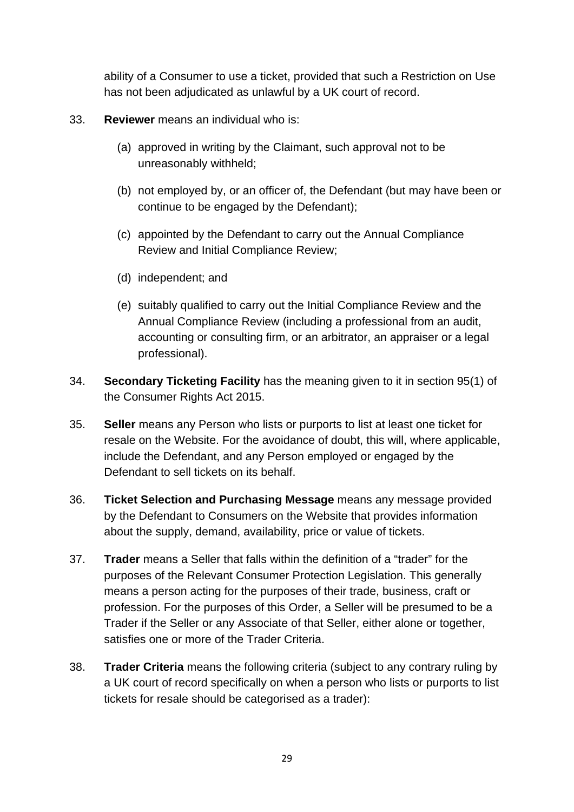ability of a Consumer to use a ticket, provided that such a Restriction on Use has not been adjudicated as unlawful by a UK court of record.

- 33. **Reviewer** means an individual who is:
	- (a) approved in writing by the Claimant, such approval not to be unreasonably withheld;
	- (b) not employed by, or an officer of, the Defendant (but may have been or continue to be engaged by the Defendant);
	- (c) appointed by the Defendant to carry out the Annual Compliance Review and Initial Compliance Review;
	- (d) independent; and
	- (e) suitably qualified to carry out the Initial Compliance Review and the Annual Compliance Review (including a professional from an audit, accounting or consulting firm, or an arbitrator, an appraiser or a legal professional).
- 34. **Secondary Ticketing Facility** has the meaning given to it in section 95(1) of the Consumer Rights Act 2015.
- 35. **Seller** means any Person who lists or purports to list at least one ticket for resale on the Website. For the avoidance of doubt, this will, where applicable, include the Defendant, and any Person employed or engaged by the Defendant to sell tickets on its behalf.
- 36. **Ticket Selection and Purchasing Message** means any message provided by the Defendant to Consumers on the Website that provides information about the supply, demand, availability, price or value of tickets.
- 37. **Trader** means a Seller that falls within the definition of a "trader" for the purposes of the Relevant Consumer Protection Legislation. This generally means a person acting for the purposes of their trade, business, craft or profession. For the purposes of this Order, a Seller will be presumed to be a Trader if the Seller or any Associate of that Seller, either alone or together, satisfies one or more of the Trader Criteria.
- 38. **Trader Criteria** means the following criteria (subject to any contrary ruling by a UK court of record specifically on when a person who lists or purports to list tickets for resale should be categorised as a trader):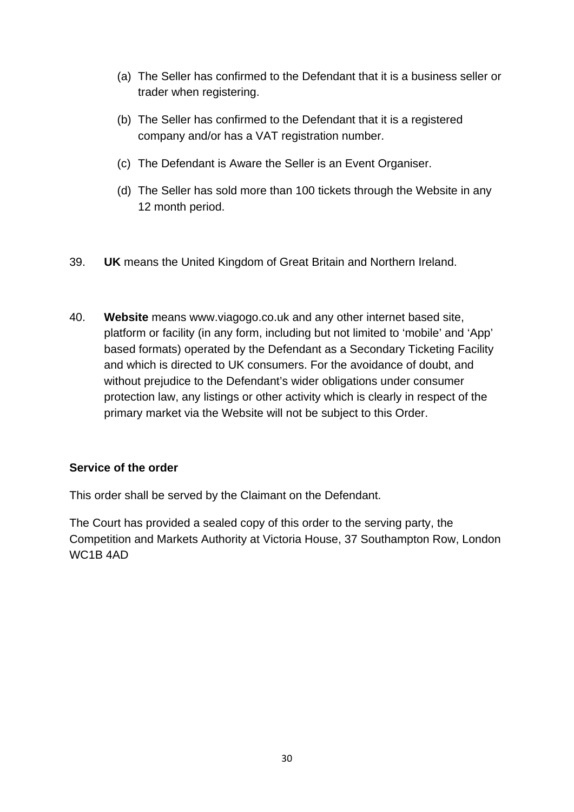- (a) The Seller has confirmed to the Defendant that it is a business seller or trader when registering.
- (b) The Seller has confirmed to the Defendant that it is a registered company and/or has a VAT registration number.
- (c) The Defendant is Aware the Seller is an Event Organiser.
- (d) The Seller has sold more than 100 tickets through the Website in any 12 month period.
- 39. **UK** means the United Kingdom of Great Britain and Northern Ireland.
- 40. **Website** means www.viagogo.co.uk and any other internet based site, platform or facility (in any form, including but not limited to 'mobile' and 'App' based formats) operated by the Defendant as a Secondary Ticketing Facility and which is directed to UK consumers. For the avoidance of doubt, and without prejudice to the Defendant's wider obligations under consumer protection law, any listings or other activity which is clearly in respect of the primary market via the Website will not be subject to this Order.

# **Service of the order**

This order shall be served by the Claimant on the Defendant.

The Court has provided a sealed copy of this order to the serving party, the Competition and Markets Authority at Victoria House, 37 Southampton Row, London WC1B 4AD